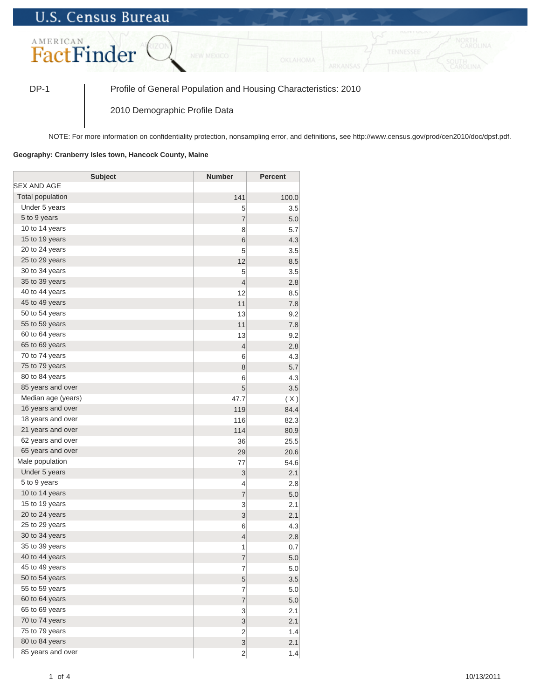## **U.S. Census Bureau**



DP-1 Profile of General Population and Housing Characteristics: 2010

2010 Demographic Profile Data

NOTE: For more information on confidentiality protection, nonsampling error, and definitions, see http://www.census.gov/prod/cen2010/doc/dpsf.pdf.

## **Geography: Cranberry Isles town, Hancock County, Maine**

| <b>Subject</b>          | <b>Number</b>  | <b>Percent</b> |
|-------------------------|----------------|----------------|
| SEX AND AGE             |                |                |
| <b>Total population</b> | 141            | 100.0          |
| Under 5 years           | 5              | 3.5            |
| 5 to 9 years            | $\overline{7}$ | 5.0            |
| 10 to 14 years          | 8              | 5.7            |
| 15 to 19 years          | 6              | 4.3            |
| 20 to 24 years          | 5              | 3.5            |
| 25 to 29 years          | 12             | 8.5            |
| 30 to 34 years          | 5              | 3.5            |
| 35 to 39 years          | $\overline{4}$ | 2.8            |
| 40 to 44 years          | 12             | 8.5            |
| 45 to 49 years          | 11             | 7.8            |
| 50 to 54 years          | 13             | 9.2            |
| 55 to 59 years          | 11             | 7.8            |
| 60 to 64 years          | 13             | 9.2            |
| 65 to 69 years          | $\overline{4}$ | 2.8            |
| 70 to 74 years          | 6              | 4.3            |
| 75 to 79 years          | 8              | 5.7            |
| 80 to 84 years          | 6              | 4.3            |
| 85 years and over       | 5              | 3.5            |
| Median age (years)      | 47.7           | (X)            |
| 16 years and over       | 119            | 84.4           |
| 18 years and over       | 116            | 82.3           |
| 21 years and over       | 114            | 80.9           |
| 62 years and over       | 36             | 25.5           |
| 65 years and over       | 29             | 20.6           |
| Male population         | 77             | 54.6           |
| Under 5 years           | 3              | 2.1            |
| 5 to 9 years            | 4              | 2.8            |
| 10 to 14 years          | $\overline{7}$ | 5.0            |
| 15 to 19 years          | 3              | 2.1            |
| 20 to 24 years          | 3              | 2.1            |
| 25 to 29 years          | 6              | 4.3            |
| 30 to 34 years          | $\overline{4}$ | 2.8            |
| 35 to 39 years          | 1              | 0.7            |
| 40 to 44 years          | $\overline{7}$ | 5.0            |
| 45 to 49 years          | 7              | 5.0            |
| 50 to 54 years          | 5              | 3.5            |
| 55 to 59 years          | $\overline{7}$ | 5.0            |
| 60 to 64 years          | $\overline{7}$ | 5.0            |
| 65 to 69 years          | 3              | 2.1            |
| 70 to 74 years          | 3              | 2.1            |
| 75 to 79 years          | $\mathbf 2$    | 1.4            |
| 80 to 84 years          | 3              | 2.1            |
| 85 years and over       | $\overline{2}$ | 1.4            |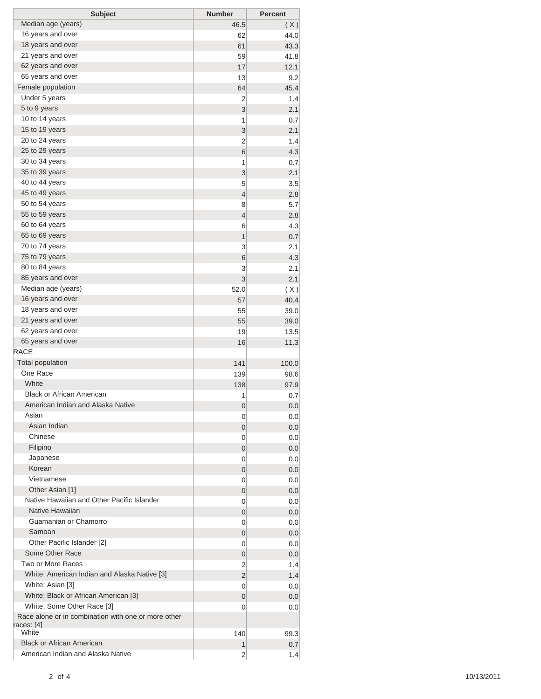| <b>Subject</b>                                      | <b>Number</b>  | <b>Percent</b> |
|-----------------------------------------------------|----------------|----------------|
| Median age (years)                                  | 46.5           | (X)            |
| 16 years and over                                   | 62             | 44.0           |
| 18 years and over                                   | 61             | 43.3           |
| 21 years and over                                   | 59             | 41.8           |
| 62 years and over                                   | 17             | 12.1           |
| 65 years and over                                   | 13             | 9.2            |
| Female population                                   | 64             | 45.4           |
| Under 5 years                                       | 2              | 1.4            |
| 5 to 9 years                                        | 3              | 2.1            |
| 10 to 14 years                                      | 1              | 0.7            |
| 15 to 19 years                                      | 3              | 2.1            |
| 20 to 24 years                                      | 2              | 1.4            |
| 25 to 29 years                                      | 6              | 4.3            |
| 30 to 34 years                                      | 1              | 0.7            |
| 35 to 39 years                                      | 3              | 2.1            |
| 40 to 44 years                                      | 5              | 3.5            |
| 45 to 49 years                                      | $\overline{4}$ | 2.8            |
| 50 to 54 years                                      | 8              | 5.7            |
| 55 to 59 years                                      | $\overline{4}$ | 2.8            |
| 60 to 64 years                                      | 6              | 4.3            |
| 65 to 69 years                                      | 1              | 0.7            |
| 70 to 74 years                                      | 3              | 2.1            |
| 75 to 79 years                                      | 6              | 4.3            |
| 80 to 84 years                                      |                |                |
| 85 years and over                                   | 3              | 2.1            |
| Median age (years)                                  | 3              | 2.1            |
|                                                     | 52.0           | (X)            |
| 16 years and over                                   | 57             | 40.4           |
| 18 years and over                                   | 55             | 39.0           |
| 21 years and over                                   | 55             | 39.0           |
| 62 years and over                                   | 19             | 13.5           |
| 65 years and over                                   | 16             | 11.3           |
| <b>RACE</b>                                         |                |                |
| <b>Total population</b>                             | 141            | 100.0          |
| One Race                                            | 139            | 98.6           |
| White                                               | 138            | 97.9           |
| <b>Black or African American</b>                    | 1              | 0.7            |
| American Indian and Alaska Native                   | 0              | 0.0            |
| Asian                                               | 0              | 0.0            |
| Asian Indian                                        | 0              | 0.0            |
| Chinese                                             | 0              | 0.0            |
| Filipino                                            | 0              | 0.0            |
| Japanese                                            | 0              | 0.0            |
| Korean                                              | 0              | 0.0            |
| Vietnamese                                          | 0              | 0.0            |
| Other Asian [1]                                     | 0              | 0.0            |
| Native Hawaiian and Other Pacific Islander          | 0              | 0.0            |
| Native Hawaiian                                     | 0              | 0.0            |
| Guamanian or Chamorro                               | 0              | 0.0            |
| Samoan                                              | 0              | 0.0            |
| Other Pacific Islander [2]                          | 0              | 0.0            |
| Some Other Race                                     | 0              | 0.0            |
| Two or More Races                                   | 2              | 1.4            |
| White; American Indian and Alaska Native [3]        | 2              | 1.4            |
| White; Asian [3]                                    | 0              | 0.0            |
| White; Black or African American [3]                | 0              | 0.0            |
| White; Some Other Race [3]                          | 0              | 0.0            |
| Race alone or in combination with one or more other |                |                |
| races: [4]                                          |                |                |
| White                                               | 140            | 99.3           |
| <b>Black or African American</b>                    | 1              | 0.7            |
| American Indian and Alaska Native                   | $\overline{2}$ | 1.4            |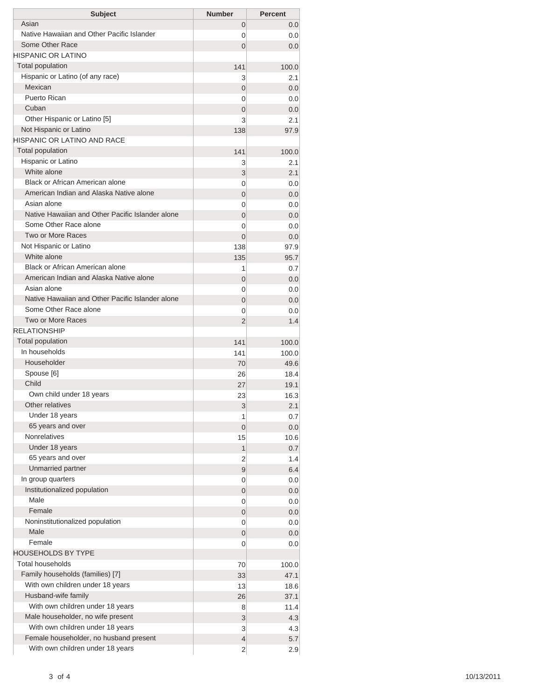| <b>Subject</b>                                                            | <b>Number</b>  | <b>Percent</b> |
|---------------------------------------------------------------------------|----------------|----------------|
| Asian                                                                     | 0              | 0.0            |
| Native Hawaiian and Other Pacific Islander                                | 0              | 0.0            |
| Some Other Race                                                           | 0              | 0.0            |
| <b>HISPANIC OR LATINO</b>                                                 |                |                |
| <b>Total population</b>                                                   | 141            | 100.0          |
| Hispanic or Latino (of any race)                                          | 3              | 2.1            |
| Mexican                                                                   | 0              | 0.0            |
| Puerto Rican                                                              | 0              | 0.0            |
| Cuban                                                                     | 0              | 0.0            |
| Other Hispanic or Latino [5]                                              | 3              | 2.1            |
| Not Hispanic or Latino                                                    | 138            | 97.9           |
| HISPANIC OR LATINO AND RACE                                               |                |                |
| <b>Total population</b>                                                   | 141            | 100.0          |
| Hispanic or Latino                                                        | 3              | 2.1            |
| White alone                                                               | 3              | 2.1            |
| Black or African American alone                                           | 0              | 0.0            |
| American Indian and Alaska Native alone<br>Asian alone                    | 0              | 0.0            |
|                                                                           | 0              | 0.0            |
| Native Hawaiian and Other Pacific Islander alone<br>Some Other Race alone | 0              | 0.0            |
| Two or More Races                                                         | 0              | 0.0            |
| Not Hispanic or Latino                                                    | $\Omega$       | 0.0            |
| White alone                                                               | 138            | 97.9           |
| Black or African American alone                                           | 135            | 95.7           |
| American Indian and Alaska Native alone                                   | 1              | 0.7            |
| Asian alone                                                               | 0              | 0.0            |
| Native Hawaiian and Other Pacific Islander alone                          | 0<br>0         | 0.0<br>0.0     |
| Some Other Race alone                                                     | 0              | 0.0            |
| <b>Two or More Races</b>                                                  | 2              | 1.4            |
| <b>RELATIONSHIP</b>                                                       |                |                |
| Total population                                                          | 141            | 100.0          |
| In households                                                             | 141            | 100.0          |
| Householder                                                               | 70             | 49.6           |
| Spouse [6]                                                                | 26             | 18.4           |
| Child                                                                     | 27             | 19.1           |
| Own child under 18 years                                                  | 23             | 16.3           |
| Other relatives                                                           | 3              | 2.1            |
| Under 18 years                                                            | 1              | 0.7            |
| 65 years and over                                                         | 0              | 0.0            |
| <b>Nonrelatives</b>                                                       | 15             | 10.6           |
| Under 18 years                                                            | 1              | 0.7            |
| 65 years and over                                                         | 2              | 1.4            |
| Unmarried partner                                                         | 9              | 6.4            |
| In group quarters                                                         | 0              | 0.0            |
| Institutionalized population                                              | 0              | 0.0            |
| Male                                                                      | 0              | 0.0            |
| Female                                                                    | 0              | 0.0            |
| Noninstitutionalized population                                           | 0              | 0.0            |
| Male                                                                      | 0              | 0.0            |
| Female                                                                    | 0              | 0.0            |
| <b>HOUSEHOLDS BY TYPE</b>                                                 |                |                |
| <b>Total households</b>                                                   | 70             | 100.0          |
| Family households (families) [7]                                          | 33             | 47.1           |
| With own children under 18 years                                          | 13             | 18.6           |
| Husband-wife family                                                       | 26             | 37.1           |
| With own children under 18 years                                          | 8              | 11.4           |
| Male householder, no wife present                                         | 3              | 4.3            |
| With own children under 18 years                                          | 3              | 4.3            |
| Female householder, no husband present                                    | 4              | 5.7            |
| With own children under 18 years                                          | $\overline{c}$ | 2.9            |